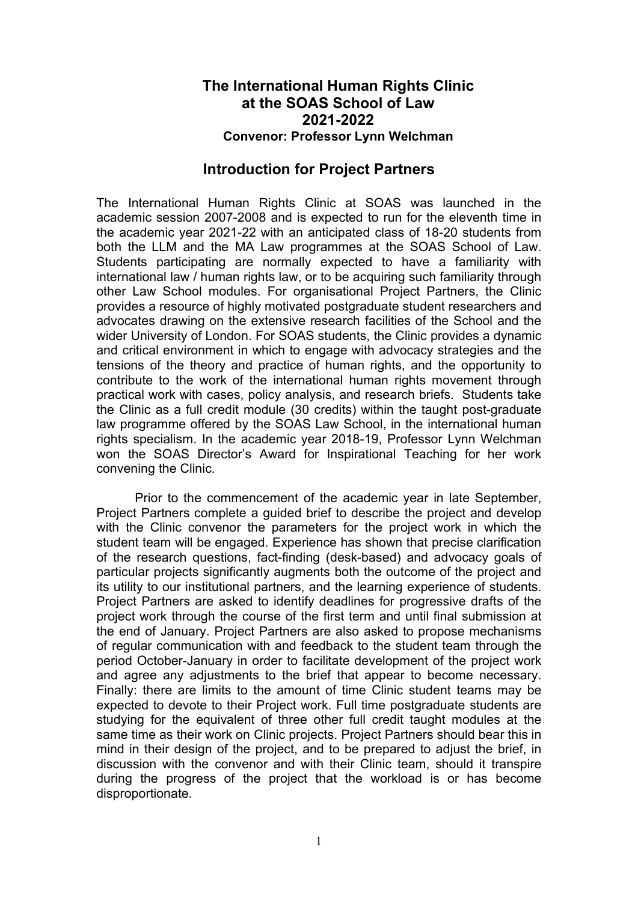## The International Human Rights Clinic at the SOAS School of Law 2021-2022 Convenor: Professor Lynn Welchman

## Introduction for Project Partners

The International Human Rights Clinic at SOAS was launched in the academic session 2007-2008 and is expected to run for the eleventh time in the academic year 2021-22 with an anticipated class of 18-20 students from both the LLM and the MA Law programmes at the SOAS School of Law. Students participating are normally expected to have a familiarity with international law / human rights law, or to be acquiring such familiarity through other Law School modules. For organisational Project Partners, the Clinic provides a resource of highly motivated postgraduate student researchers and advocates drawing on the extensive research facilities of the School and the wider University of London. For SOAS students, the Clinic provides a dynamic and critical environment in which to engage with advocacy strategies and the tensions of the theory and practice of human rights, and the opportunity to contribute to the work of the international human rights movement through practical work with cases, policy analysis, and research briefs. Students take the Clinic as a full credit module (30 credits) within the taught post-graduate law programme offered by the SOAS Law School, in the international human rights specialism. In the academic year 2018-19, Professor Lynn Welchman won the SOAS Director's Award for Inspirational Teaching for her work convening the Clinic.

Prior to the commencement of the academic year in late September, Project Partners complete a guided brief to describe the project and develop with the Clinic convenor the parameters for the project work in which the student team will be engaged. Experience has shown that precise clarification of the research questions, fact-finding (desk-based) and advocacy goals of particular projects significantly augments both the outcome of the project and its utility to our institutional partners, and the learning experience of students. Project Partners are asked to identify deadlines for progressive drafts of the project work through the course of the first term and until final submission at the end of January. Project Partners are also asked to propose mechanisms of regular communication with and feedback to the student team through the period October-January in order to facilitate development of the project work and agree any adjustments to the brief that appear to become necessary. Finally: there are limits to the amount of time Clinic student teams may be expected to devote to their Project work. Full time postgraduate students are studying for the equivalent of three other full credit taught modules at the same time as their work on Clinic projects. Project Partners should bear this in mind in their design of the project, and to be prepared to adjust the brief, in discussion with the convenor and with their Clinic team, should it transpire during the progress of the project that the workload is or has become disproportionate.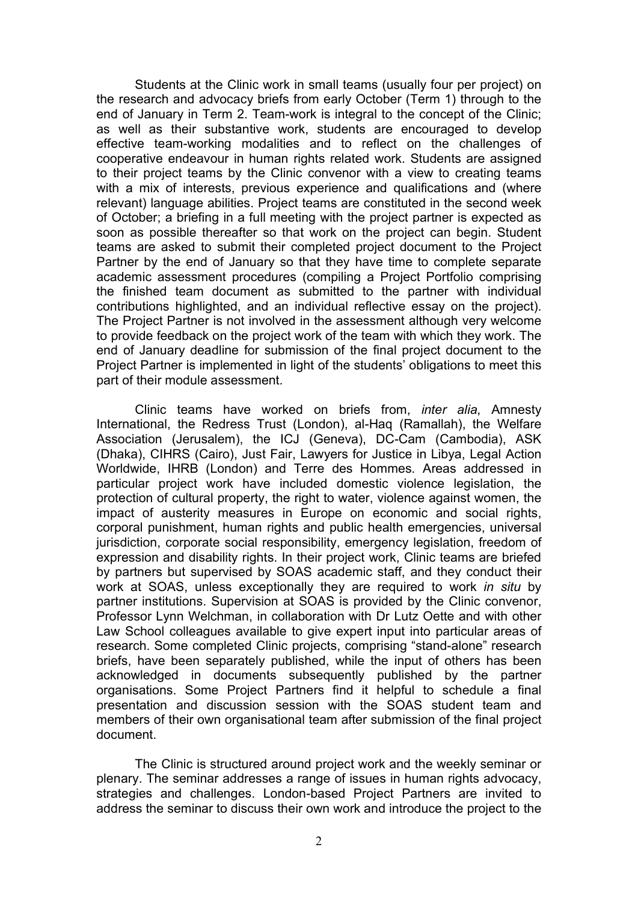Students at the Clinic work in small teams (usually four per project) on the research and advocacy briefs from early October (Term 1) through to the end of January in Term 2. Team-work is integral to the concept of the Clinic; as well as their substantive work, students are encouraged to develop effective team-working modalities and to reflect on the challenges of cooperative endeavour in human rights related work. Students are assigned to their project teams by the Clinic convenor with a view to creating teams with a mix of interests, previous experience and qualifications and (where relevant) language abilities. Project teams are constituted in the second week of October; a briefing in a full meeting with the project partner is expected as soon as possible thereafter so that work on the project can begin. Student teams are asked to submit their completed project document to the Project Partner by the end of January so that they have time to complete separate academic assessment procedures (compiling a Project Portfolio comprising the finished team document as submitted to the partner with individual contributions highlighted, and an individual reflective essay on the project). The Project Partner is not involved in the assessment although very welcome to provide feedback on the project work of the team with which they work. The end of January deadline for submission of the final project document to the Project Partner is implemented in light of the students' obligations to meet this part of their module assessment.

Clinic teams have worked on briefs from, inter alia, Amnesty International, the Redress Trust (London), al-Haq (Ramallah), the Welfare Association (Jerusalem), the ICJ (Geneva), DC-Cam (Cambodia), ASK (Dhaka), CIHRS (Cairo), Just Fair, Lawyers for Justice in Libya, Legal Action Worldwide, IHRB (London) and Terre des Hommes. Areas addressed in particular project work have included domestic violence legislation, the protection of cultural property, the right to water, violence against women, the impact of austerity measures in Europe on economic and social rights, corporal punishment, human rights and public health emergencies, universal jurisdiction, corporate social responsibility, emergency legislation, freedom of expression and disability rights. In their project work, Clinic teams are briefed by partners but supervised by SOAS academic staff, and they conduct their work at SOAS, unless exceptionally they are required to work in situ by partner institutions. Supervision at SOAS is provided by the Clinic convenor, Professor Lynn Welchman, in collaboration with Dr Lutz Oette and with other Law School colleagues available to give expert input into particular areas of research. Some completed Clinic projects, comprising "stand-alone" research briefs, have been separately published, while the input of others has been acknowledged in documents subsequently published by the partner organisations. Some Project Partners find it helpful to schedule a final presentation and discussion session with the SOAS student team and members of their own organisational team after submission of the final project document.

 The Clinic is structured around project work and the weekly seminar or plenary. The seminar addresses a range of issues in human rights advocacy, strategies and challenges. London-based Project Partners are invited to address the seminar to discuss their own work and introduce the project to the